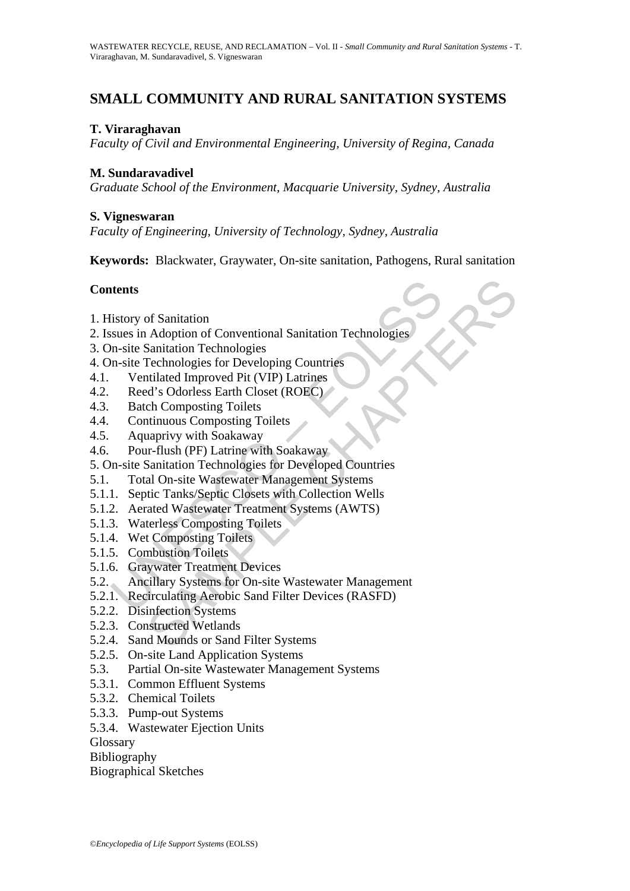# **SMALL COMMUNITY AND RURAL SANITATION SYSTEMS**

## **T. Viraraghavan**

*Faculty of Civil and Environmental Engineering, University of Regina, Canada* 

## **M. Sundaravadivel**

*Graduate School of the Environment, Macquarie University, Sydney, Australia* 

## **S. Vigneswaran**

*Faculty of Engineering, University of Technology, Sydney, Australia* 

**Keywords:**Blackwater, Graywater, On-site sanitation, Pathogens, Rural sanitation

## **Contents**

- 1. History of Sanitation
- 2. Issues in Adoption of Conventional Sanitation Technologies
- 3. On-site Sanitation Technologies
- 4. On-site Technologies for Developing Countries
- 4.1. Ventilated Improved Pit (VIP) Latrines
- 4.2. Reed's Odorless Earth Closet (ROEC)
- 4.3. Batch Composting Toilets
- 4.4. Continuous Composting Toilets
- 4.5. Aquaprivy with Soakaway
- 4.6. Pour-flush (PF) Latrine with Soakaway
- 5. On-site Sanitation Technologies for Developed Countries
- 5.1. Total On-site Wastewater Management Systems
- 5.1.1. Septic Tanks/Septic Closets with Collection Wells
- 5.1.2. Aerated Wastewater Treatment Systems (AWTS)
- 5.1.3. Waterless Composting Toilets
- 5.1.4. Wet Composting Toilets
- 5.1.5. Combustion Toilets
- 5.1.6. Graywater Treatment Devices
- **thents**<br>
istory of Sanitation<br>
issues in Adoption of Conventional Sanitation Technologies<br>
in-site Sanitation Technologies<br>
in-site Technologies for Developing Countries<br>
Ventilated Improved Pit (VIP) Latrines<br>
Reed's Odo of Sanitation<br>
Adoption of Conventional Sanitation Technologies<br>
Sanitation Technologies<br>
Technologies for Developing Countries<br>
Itilated Improved Pit (VIP) Latrines<br>
d's Odorless Earth Closet (ROEC)<br>
charmerivy with Soaka 5.2. Ancillary Systems for On-site Wastewater Management
- 5.2.1. Recirculating Aerobic Sand Filter Devices (RASFD)
- 5.2.2. Disinfection Systems
- 5.2.3. Constructed Wetlands
- 5.2.4. Sand Mounds or Sand Filter Systems
- 5.2.5. On-site Land Application Systems
- 5.3. Partial On-site Wastewater Management Systems
- 5.3.1. Common Effluent Systems
- 5.3.2. Chemical Toilets
- 5.3.3. Pump-out Systems
- 5.3.4. Wastewater Ejection Units

**Glossary** 

Bibliography

Biographical Sketches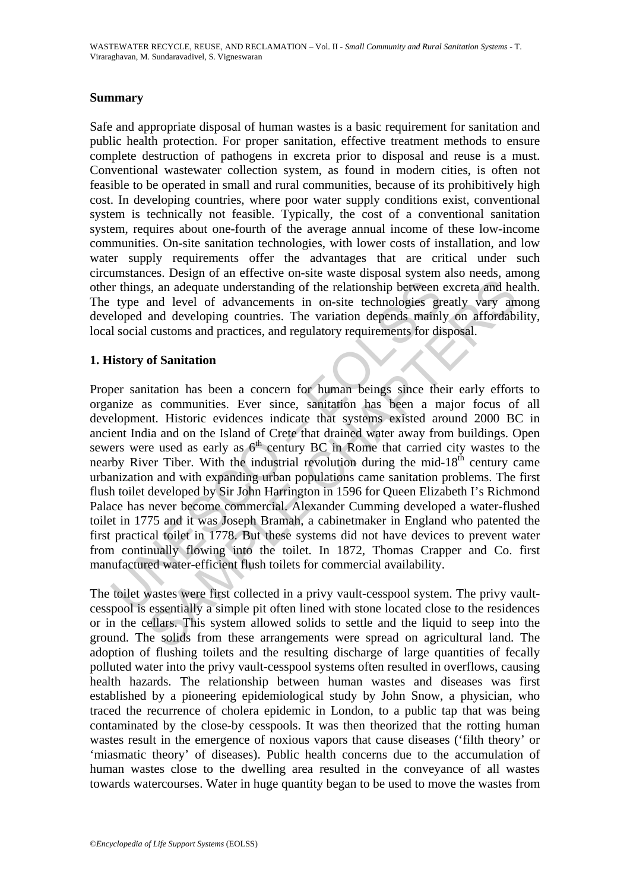### **Summary**

Safe and appropriate disposal of human wastes is a basic requirement for sanitation and public health protection. For proper sanitation, effective treatment methods to ensure complete destruction of pathogens in excreta prior to disposal and reuse is a must. Conventional wastewater collection system, as found in modern cities, is often not feasible to be operated in small and rural communities, because of its prohibitively high cost. In developing countries, where poor water supply conditions exist, conventional system is technically not feasible. Typically, the cost of a conventional sanitation system, requires about one-fourth of the average annual income of these low-income communities. On-site sanitation technologies, with lower costs of installation, and low water supply requirements offer the advantages that are critical under such circumstances. Design of an effective on-site waste disposal system also needs, among other things, an adequate understanding of the relationship between excreta and health. The type and level of advancements in on-site technologies greatly vary among developed and developing countries. The variation depends mainly on affordability, local social customs and practices, and regulatory requirements for disposal.

## **1. History of Sanitation**

istingthand and evaluate understanding of the relationship between<br>type and level of advancements in on-site technologies greloped and developing countries. The variation depends main!<br>I social customs and practices, and r s, an adequate understanding of the relationship between excreta and he<br>and level of advancements in on-site technologies greatly vary am<br>and developing countries. The variation depends mainly on affordabi<br>customs and pra Proper sanitation has been a concern for human beings since their early efforts to organize as communities. Ever since, sanitation has been a major focus of all development. Historic evidences indicate that systems existed around 2000 BC in ancient India and on the Island of Crete that drained water away from buildings. Open sewers were used as early as  $6<sup>th</sup>$  century BC in Rome that carried city wastes to the nearby River Tiber. With the industrial revolution during the mid- $18<sup>th</sup>$  century came urbanization and with expanding urban populations came sanitation problems. The first flush toilet developed by Sir John Harrington in 1596 for Queen Elizabeth I's Richmond Palace has never become commercial. Alexander Cumming developed a water-flushed toilet in 1775 and it was Joseph Bramah, a cabinetmaker in England who patented the first practical toilet in 1778. But these systems did not have devices to prevent water from continually flowing into the toilet. In 1872, Thomas Crapper and Co. first manufactured water-efficient flush toilets for commercial availability.

The toilet wastes were first collected in a privy vault-cesspool system. The privy vaultcesspool is essentially a simple pit often lined with stone located close to the residences or in the cellars. This system allowed solids to settle and the liquid to seep into the ground. The solids from these arrangements were spread on agricultural land. The adoption of flushing toilets and the resulting discharge of large quantities of fecally polluted water into the privy vault-cesspool systems often resulted in overflows, causing health hazards. The relationship between human wastes and diseases was first established by a pioneering epidemiological study by John Snow, a physician, who traced the recurrence of cholera epidemic in London, to a public tap that was being contaminated by the close-by cesspools. It was then theorized that the rotting human wastes result in the emergence of noxious vapors that cause diseases ('filth theory' or 'miasmatic theory' of diseases). Public health concerns due to the accumulation of human wastes close to the dwelling area resulted in the conveyance of all wastes towards watercourses. Water in huge quantity began to be used to move the wastes from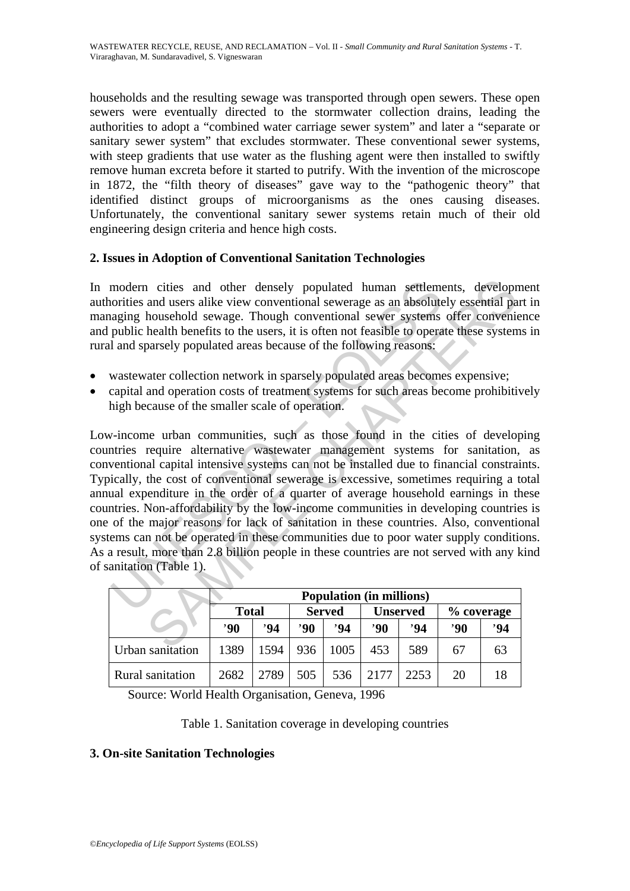households and the resulting sewage was transported through open sewers. These open sewers were eventually directed to the stormwater collection drains, leading the authorities to adopt a "combined water carriage sewer system" and later a "separate or sanitary sewer system" that excludes stormwater. These conventional sewer systems, with steep gradients that use water as the flushing agent were then installed to swiftly remove human excreta before it started to putrify. With the invention of the microscope in 1872, the "filth theory of diseases" gave way to the "pathogenic theory" that identified distinct groups of microorganisms as the ones causing diseases. Unfortunately, the conventional sanitary sewer systems retain much of their old engineering design criteria and hence high costs.

## **2. Issues in Adoption of Conventional Sanitation Technologies**

In modern cities and other densely populated human settlements, development authorities and users alike view conventional sewerage as an absolutely essential part in managing household sewage. Though conventional sewer systems offer convenience and public health benefits to the users, it is often not feasible to operate these systems in rural and sparsely populated areas because of the following reasons:

- wastewater collection network in sparsely populated areas becomes expensive;
- capital and operation costs of treatment systems for such areas become prohibitively high because of the smaller scale of operation.

modern cities and other densely populated human settlem<br>orities and users alike view conventional sewerage as an absolute<br>aging household sewage. Though conventional sewer systems<br>public health benefits to the users, it is 1 cities and other densely populated human settlements, developm<br>
and users alike view conventional sewerage as an absolutely essential pa<br>
household sewage. Though conventional sewer systems offer convenia<br>
health benefi Low-income urban communities, such as those found in the cities of developing countries require alternative wastewater management systems for sanitation, as conventional capital intensive systems can not be installed due to financial constraints. Typically, the cost of conventional sewerage is excessive, sometimes requiring a total annual expenditure in the order of a quarter of average household earnings in these countries. Non-affordability by the low-income communities in developing countries is one of the major reasons for lack of sanitation in these countries. Also, conventional systems can not be operated in these communities due to poor water supply conditions. As a result, more than 2.8 billion people in these countries are not served with any kind of sanitation (Table 1).

|                  | <b>Population (in millions)</b> |      |               |      |                 |      |              |    |
|------------------|---------------------------------|------|---------------|------|-----------------|------|--------------|----|
|                  | <b>Total</b>                    |      | <b>Served</b> |      | <b>Unserved</b> |      | $%$ coverage |    |
|                  | $90^\circ$                      | 94   | $90^\circ$    | '94  | $90^\circ$      | '94  | '90          | 94 |
| Urban sanitation | 1389                            | 1594 | 936           | 1005 | 453             | 589  | 67           | 63 |
| Rural sanitation | 2682                            | 2789 | 505           | 536  | 2177            | 2253 | 20           | 18 |

Source: World Health Organisation, Geneva, 1996

Table 1. Sanitation coverage in developing countries

#### **3. On-site Sanitation Technologies**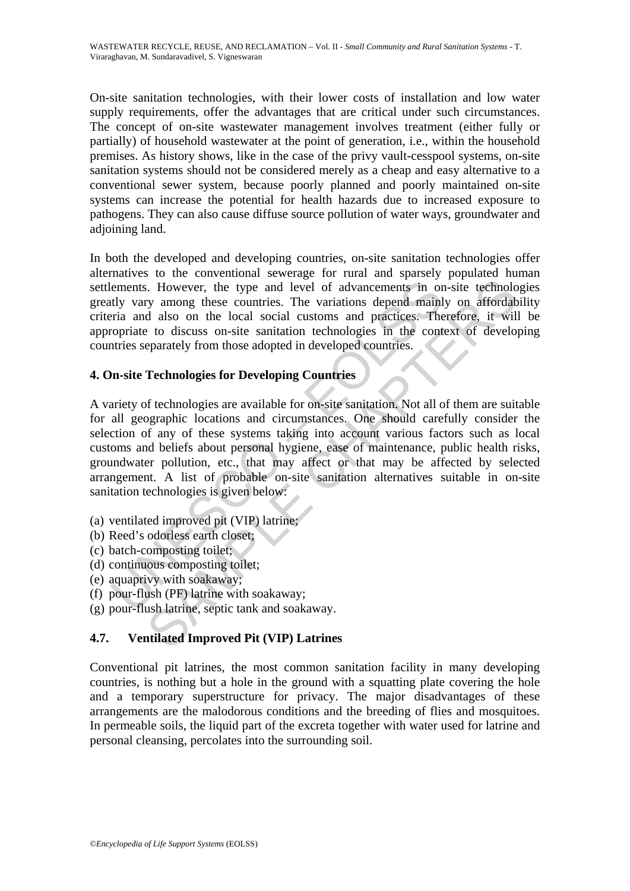On-site sanitation technologies, with their lower costs of installation and low water supply requirements, offer the advantages that are critical under such circumstances. The concept of on-site wastewater management involves treatment (either fully or partially) of household wastewater at the point of generation, i.e., within the household premises. As history shows, like in the case of the privy vault-cesspool systems, on-site sanitation systems should not be considered merely as a cheap and easy alternative to a conventional sewer system, because poorly planned and poorly maintained on-site systems can increase the potential for health hazards due to increased exposure to pathogens. They can also cause diffuse source pollution of water ways, groundwater and adjoining land.

In both the developed and developing countries, on-site sanitation technologies offer alternatives to the conventional sewerage for rural and sparsely populated human settlements. However, the type and level of advancements in on-site technologies greatly vary among these countries. The variations depend mainly on affordability criteria and also on the local social customs and practices. Therefore, it will be appropriate to discuss on-site sanitation technologies in the context of developing countries separately from those adopted in developed countries.

## **4. On-site Technologies for Developing Countries**

ements. However, the type and level of advancements in or<br>thy vary among these countries. The variations depend mainl<br>ria and also on the local social customs and practices. The<br>ropriate to discuss on-site sanitation techn From the local occident of a transmission of a transmission of the data on the local occident of a discontinuo<br>state is discontinuous and productions and practices. Therefore, it will<br>example to discuss on-site saintation A variety of technologies are available for on-site sanitation. Not all of them are suitable for all geographic locations and circumstances. One should carefully consider the selection of any of these systems taking into account various factors such as local customs and beliefs about personal hygiene, ease of maintenance, public health risks, groundwater pollution, etc., that may affect or that may be affected by selected arrangement. A list of probable on-site sanitation alternatives suitable in on-site sanitation technologies is given below:

- (a) ventilated improved pit (VIP) latrine;
- (b) Reed's odorless earth closet;
- (c) batch-composting toilet;
- (d) continuous composting toilet;
- (e) aquaprivy with soakaway;
- (f) pour-flush (PF) latrine with soakaway;
- (g) pour-flush latrine, septic tank and soakaway.

## **4.7. Ventilated Improved Pit (VIP) Latrines**

Conventional pit latrines, the most common sanitation facility in many developing countries, is nothing but a hole in the ground with a squatting plate covering the hole and a temporary superstructure for privacy. The major disadvantages of these arrangements are the malodorous conditions and the breeding of flies and mosquitoes. In permeable soils, the liquid part of the excreta together with water used for latrine and personal cleansing, percolates into the surrounding soil.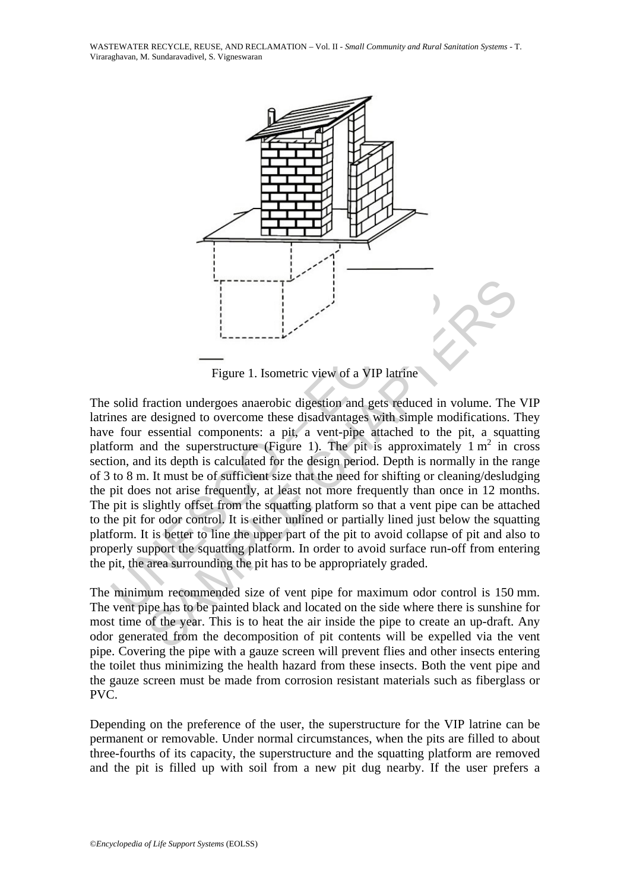WASTEWATER RECYCLE, REUSE, AND RECLAMATION – Vol. II - *Small Community and Rural Sanitation Systems* - T. Viraraghavan, M. Sundaravadivel, S. Vigneswaran



Figure 1. Isometric view of a VIP latrine

Figure 1. Isometric view of a VIP latrine<br>
Figure 1. Isometric view of a VIP latrine<br>
solid fraction undergoes anaerobic digestion and gets reduced in<br>
res are designed to overcome these disadvantages with simple m<br>
form a Figure 1. Isometric view of a VIP latrine<br>
Figure 1. Isometric view of a VIP latrine<br>
Fraction undergoes anaerobic digestion and gets reduced in volume. The<br>
designed to overcome these disadvantages with simple modificati The solid fraction undergoes anaerobic digestion and gets reduced in volume. The VIP latrines are designed to overcome these disadvantages with simple modifications. They have four essential components: a pit, a vent-pipe attached to the pit, a squatting platform and the superstructure (Figure 1). The pit is approximately  $1 \text{ m}^2$  in cross section, and its depth is calculated for the design period. Depth is normally in the range of 3 to 8 m. It must be of sufficient size that the need for shifting or cleaning/desludging the pit does not arise frequently, at least not more frequently than once in 12 months. The pit is slightly offset from the squatting platform so that a vent pipe can be attached to the pit for odor control. It is either unlined or partially lined just below the squatting platform. It is better to line the upper part of the pit to avoid collapse of pit and also to properly support the squatting platform. In order to avoid surface run-off from entering the pit, the area surrounding the pit has to be appropriately graded.

The minimum recommended size of vent pipe for maximum odor control is 150 mm. The vent pipe has to be painted black and located on the side where there is sunshine for most time of the year. This is to heat the air inside the pipe to create an up-draft. Any odor generated from the decomposition of pit contents will be expelled via the vent pipe. Covering the pipe with a gauze screen will prevent flies and other insects entering the toilet thus minimizing the health hazard from these insects. Both the vent pipe and the gauze screen must be made from corrosion resistant materials such as fiberglass or PVC.

Depending on the preference of the user, the superstructure for the VIP latrine can be permanent or removable. Under normal circumstances, when the pits are filled to about three-fourths of its capacity, the superstructure and the squatting platform are removed and the pit is filled up with soil from a new pit dug nearby. If the user prefers a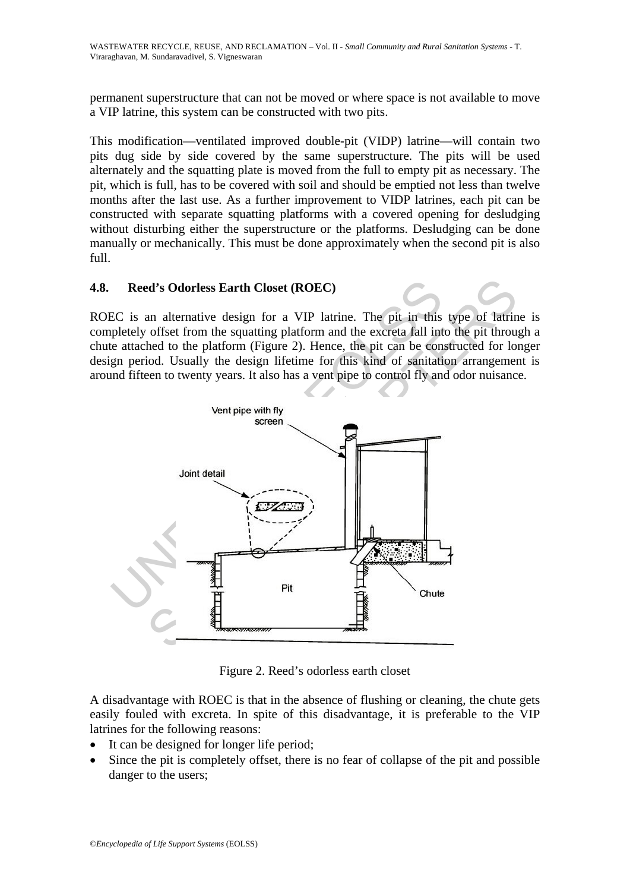permanent superstructure that can not be moved or where space is not available to move a VIP latrine, this system can be constructed with two pits.

This modification—ventilated improved double-pit (VIDP) latrine—will contain two pits dug side by side covered by the same superstructure. The pits will be used alternately and the squatting plate is moved from the full to empty pit as necessary. The pit, which is full, has to be covered with soil and should be emptied not less than twelve months after the last use. As a further improvement to VIDP latrines, each pit can be constructed with separate squatting platforms with a covered opening for desludging without disturbing either the superstructure or the platforms. Desludging can be done manually or mechanically. This must be done approximately when the second pit is also full.

## **4.8. Reed's Odorless Earth Closet (ROEC)**

ROEC is an alternative design for a VIP latrine. The pit in this type of latrine is completely offset from the squatting platform and the excreta fall into the pit through a chute attached to the platform (Figure 2). Hence, the pit can be constructed for longer design period. Usually the design lifetime for this kind of sanitation arrangement is around fifteen to twenty years. It also has a vent pipe to control fly and odor nuisance.



Figure 2. Reed's odorless earth closet

A disadvantage with ROEC is that in the absence of flushing or cleaning, the chute gets easily fouled with excreta. In spite of this disadvantage, it is preferable to the VIP latrines for the following reasons:

- It can be designed for longer life period;
- Since the pit is completely offset, there is no fear of collapse of the pit and possible danger to the users;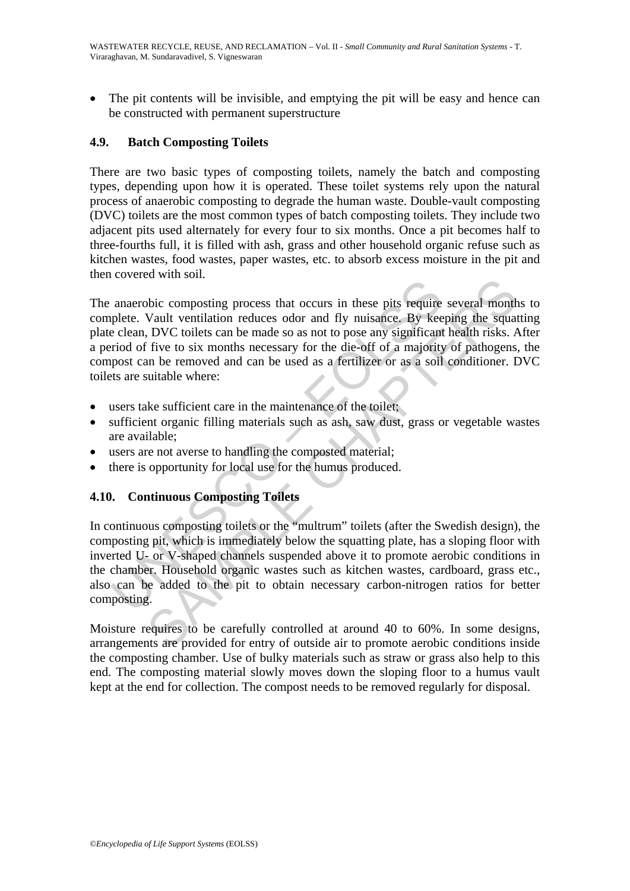The pit contents will be invisible, and emptying the pit will be easy and hence can be constructed with permanent superstructure

## **4.9. Batch Composting Toilets**

There are two basic types of composting toilets, namely the batch and composting types, depending upon how it is operated. These toilet systems rely upon the natural process of anaerobic composting to degrade the human waste. Double-vault composting (DVC) toilets are the most common types of batch composting toilets. They include two adjacent pits used alternately for every four to six months. Once a pit becomes half to three-fourths full, it is filled with ash, grass and other household organic refuse such as kitchen wastes, food wastes, paper wastes, etc. to absorb excess moisture in the pit and then covered with soil.

anaerobic composting process that occurs in these pits require<br>plete. Vault ventilation reduces odor and fly nuisance. By kee<br>clean, DVC toilets can be made so as not to pose any significant<br>proof of five to six months nec SAMPLE CHAPTERS The anaerobic composting process that occurs in these pits require several months to complete. Vault ventilation reduces odor and fly nuisance. By keeping the squatting plate clean, DVC toilets can be made so as not to pose any significant health risks. After a period of five to six months necessary for the die-off of a majority of pathogens, the compost can be removed and can be used as a fertilizer or as a soil conditioner. DVC toilets are suitable where:

- users take sufficient care in the maintenance of the toilet;
- sufficient organic filling materials such as ash, saw dust, grass or vegetable wastes are available;
- users are not averse to handling the composted material;
- there is opportunity for local use for the humus produced.

#### **4.10. Continuous Composting Toilets**

In continuous composting toilets or the "multrum" toilets (after the Swedish design), the composting pit, which is immediately below the squatting plate, has a sloping floor with inverted U- or V-shaped channels suspended above it to promote aerobic conditions in the chamber. Household organic wastes such as kitchen wastes, cardboard, grass etc., also can be added to the pit to obtain necessary carbon-nitrogen ratios for better composting.

Moisture requires to be carefully controlled at around 40 to 60%. In some designs, arrangements are provided for entry of outside air to promote aerobic conditions inside the composting chamber. Use of bulky materials such as straw or grass also help to this end. The composting material slowly moves down the sloping floor to a humus vault kept at the end for collection. The compost needs to be removed regularly for disposal.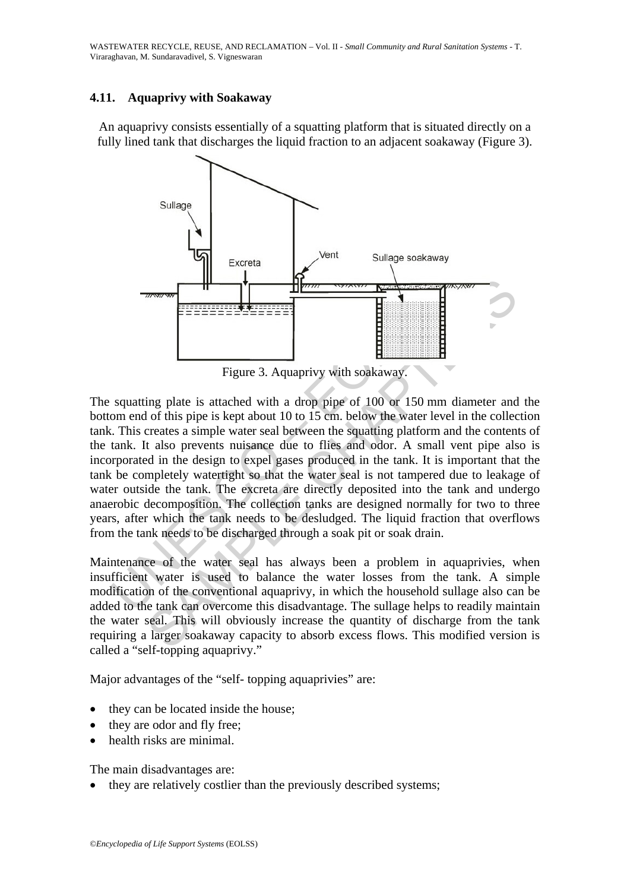## **4.11. Aquaprivy with Soakaway**

An aquaprivy consists essentially of a squatting platform that is situated directly on a fully lined tank that discharges the liquid fraction to an adjacent soakaway (Figure 3).



Figure 3. Aquaprivy with soakaway.

The matter of the same of the water seal to be discharged through and the tender of the same of this prince is a simple water and between the squating plate in this creates a simple water scale between the squating platfor From the same and the content of the same of the same of the same of the same of the same of this pipe is a sample water seal between the squating platform and the content extent of this pipe is kept about 10 to 15 cm. bel The squatting plate is attached with a drop pipe of 100 or 150 mm diameter and the bottom end of this pipe is kept about 10 to 15 cm. below the water level in the collection tank. This creates a simple water seal between the squatting platform and the contents of the tank. It also prevents nuisance due to flies and odor. A small vent pipe also is incorporated in the design to expel gases produced in the tank. It is important that the tank be completely watertight so that the water seal is not tampered due to leakage of water outside the tank. The excreta are directly deposited into the tank and undergo anaerobic decomposition. The collection tanks are designed normally for two to three years, after which the tank needs to be desludged. The liquid fraction that overflows from the tank needs to be discharged through a soak pit or soak drain.

Maintenance of the water seal has always been a problem in aquaprivies, when insufficient water is used to balance the water losses from the tank. A simple modification of the conventional aquaprivy, in which the household sullage also can be added to the tank can overcome this disadvantage. The sullage helps to readily maintain the water seal. This will obviously increase the quantity of discharge from the tank requiring a larger soakaway capacity to absorb excess flows. This modified version is called a "self-topping aquaprivy."

Major advantages of the "self- topping aquaprivies" are:

- they can be located inside the house;
- they are odor and fly free:
- health risks are minimal.

The main disadvantages are:

they are relatively costlier than the previously described systems;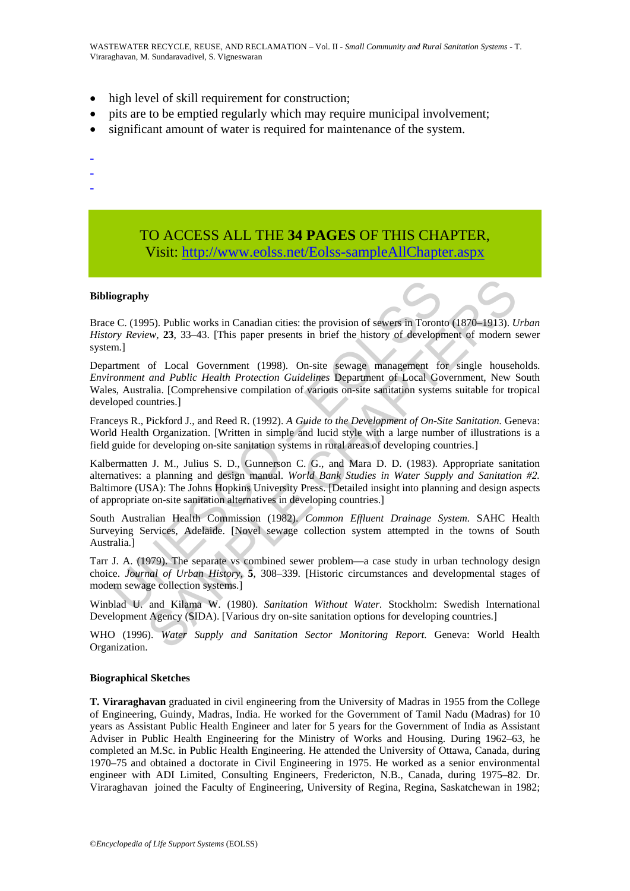- high level of skill requirement for construction;
- pits are to be emptied regularly which may require municipal involvement;
- significant amount of water is required for maintenance of the system.
- -
- -
- -
- TO ACCESS ALL THE **34 PAGES** OF THIS CHAPTER, Visit: [http://www.eolss.net/Eolss-sampleAllChapter.aspx](https://www.eolss.net/ebooklib/sc_cart.aspx?File=E2-14-04-00)

#### **Bibliography**

Brace C. (1995). Public works in Canadian cities: the provision of sewers in Toronto (1870–1913). *Urban History Review,* **23**, 33–43. [This paper presents in brief the history of development of modern sewer system.]

Department of Local Government (1998). On-site sewage management for single households. *Environment and Public Health Protection Guidelines* Department of Local Government, New South Wales, Australia. [Comprehensive compilation of various on-site sanitation systems suitable for tropical developed countries.]

Franceys R., Pickford J., and Reed R. (1992). *A Guide to the Development of On-Site Sanitation.* Geneva: World Health Organization. [Written in simple and lucid style with a large number of illustrations is a field guide for developing on-site sanitation systems in rural areas of developing countries.]

iography<br>
ec C. (1995). Public works in Canadian cities: the provision of sewers in Toront<br>
or C. (1995). Public works in Canadian cities: the provision of sewers in Toront<br>
entment of Local Government (1998). On-site sewa BS). Public works in Canadian cities: the provision of sewers in Toronto (1870–1913). *U*ew, 23, 33-43. [This paper presents in brief the history of development of modem sof Local Government (1998). On-site sewage managem Kalbermatten J. M., Julius S. D., Gunnerson C. G., and Mara D. D. (1983). Appropriate sanitation alternatives: a planning and design manual. *World Bank Studies in Water Supply and Sanitation #2.* Baltimore (USA): The Johns Hopkins University Press. [Detailed insight into planning and design aspects of appropriate on-site sanitation alternatives in developing countries.]

South Australian Health Commission (1982). *Common Effluent Drainage System.* SAHC Health Surveying Services, Adelaide. [Novel sewage collection system attempted in the towns of South Australia.]

Tarr J. A. (1979). The separate vs combined sewer problem—a case study in urban technology design choice. *Journal of Urban History,* **5**, 308–339. [Historic circumstances and developmental stages of modern sewage collection systems.]

Winblad U. and Kilama W. (1980). *Sanitation Without Water.* Stockholm: Swedish International Development Agency (SIDA). [Various dry on-site sanitation options for developing countries.]

WHO (1996). *Water Supply and Sanitation Sector Monitoring Report.* Geneva: World Health Organization.

#### **Biographical Sketches**

**T. Viraraghavan** graduated in civil engineering from the University of Madras in 1955 from the College of Engineering, Guindy, Madras, India. He worked for the Government of Tamil Nadu (Madras) for 10 years as Assistant Public Health Engineer and later for 5 years for the Government of India as Assistant Adviser in Public Health Engineering for the Ministry of Works and Housing. During 1962–63, he completed an M.Sc. in Public Health Engineering. He attended the University of Ottawa, Canada, during 1970–75 and obtained a doctorate in Civil Engineering in 1975. He worked as a senior environmental engineer with ADI Limited, Consulting Engineers, Fredericton, N.B., Canada, during 1975–82. Dr. Viraraghavan joined the Faculty of Engineering, University of Regina, Regina, Saskatchewan in 1982;